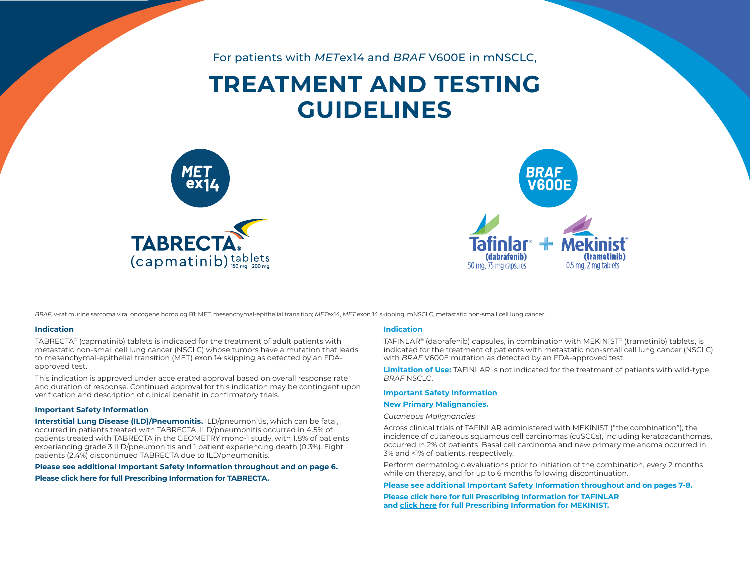For patients with *MET*ex14 and *BRAF* V600E in mNSCLC,

# **TREATMENT AND TESTING GUIDELINES**





*BRAF*, v-raf murine sarcoma viral oncogene homolog B1; MET, mesenchymal-epithelial transition; *MET*ex14, *MET* exon 14 skipping; mNSCLC, metastatic non-small cell lung cancer.

#### **Indication**

TABRECTA® (capmatinib) tablets is indicated for the treatment of adult patients with metastatic non-small cell lung cancer (NSCLC) whose tumors have a mutation that leads to mesenchymal-epithelial transition (MET) exon 14 skipping as detected by an FDAapproved test.

This indication is approved under accelerated approval based on overall response rate and duration of response. Continued approval for this indication may be contingent upon verification and description of clinical benefit in confirmatory trials.

#### **Important Safety Information**

**Interstitial Lung Disease (ILD)/Pneumonitis.** ILD/pneumonitis, which can be fatal, occurred in patients treated with TABRECTA. ILD/pneumonitis occurred in 4.5% of patients treated with TABRECTA in the GEOMETRY mono-1 study, with 1.8% of patients experiencing grade 3 ILD/pneumonitis and 1 patient experiencing death (0.3%). Eight patients (2.4%) discontinued TABRECTA due to ILD/pneumonitis.

#### **Please see additional Important Safety Information throughout and on page 6.**

**Please [click here](https://www.novartis.us/sites/www.novartis.us/files/tabrecta.pdf) for full Prescribing Information for TABRECTA.** 

#### **Indication**

TAFINLAR® (dabrafenib) capsules, in combination with MEKINIST® (trametinib) tablets, is indicated for the treatment of patients with metastatic non-small cell lung cancer (NSCLC) with *BRAF* V600E mutation as detected by an FDA-approved test.

**Limitation of Use:** TAFINLAR is not indicated for the treatment of patients with wild-type *BRAF* NSCLC.

#### **Important Safety Information**

#### **New Primary Malignancies.**

#### *Cutaneous Malignancies*

Across clinical trials of TAFINLAR administered with MEKINIST ("the combination"), the incidence of cutaneous squamous cell carcinomas (cuSCCs), including keratoacanthomas, occurred in 2% of patients. Basal cell carcinoma and new primary melanoma occurred in 3% and <1% of patients, respectively.

Perform dermatologic evaluations prior to initiation of the combination, every 2 months while on therapy, and for up to 6 months following discontinuation.

#### **Please see additional Important Safety Information throughout and on pages 7-8.**

**Please [click here f](https://www.novartis.us/sites/www.novartis.us/files/tafinlar.pdf)or full Prescribing Information for TAFINLAR and [click here](https://www.novartis.us/sites/www.novartis.us/files/mekinist.pdf) for full Prescribing Information for MEKINIST.**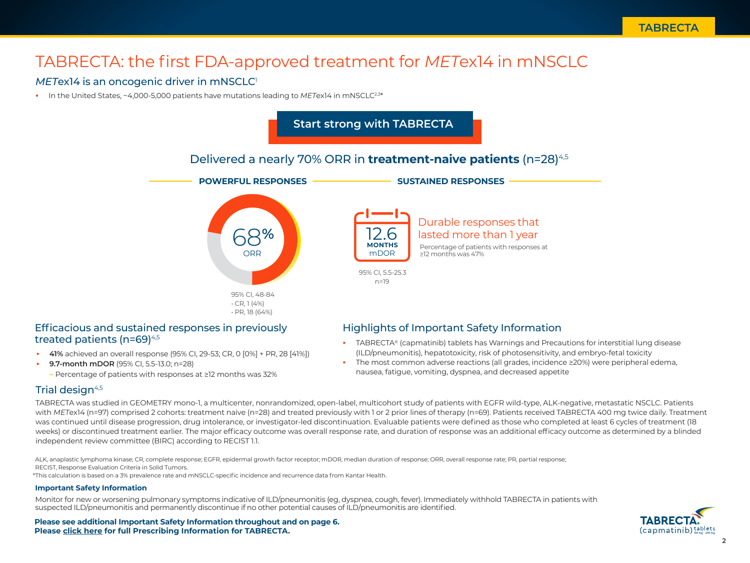## TABRECTA: the first FDA-approved treatment for *MET*ex14 in mNSCLC

## *METex14* is an oncogenic driver in mNSCLC<sup>1</sup>

**•** In the United States, ~4,000-5,000 patients have mutations leading to *MET*ex14 in mNSCLC2,3\*



## Efficacious and sustained responses in previously treated patients ( $n=69$ )<sup>4,5</sup>

- **• 41%** achieved an overall response (95% CI, 29-53; CR, 0 [0%] + PR, 28 [41%])
- **• 9.7-month mDOR** (95% CI, 5.5-13.0; n=28)
	- **–** Percentage of patients with responses at ≥12 months was 32%

## Highlights of Important Safety Information

- **•** TABRECTA® (capmatinib) tablets has Warnings and Precautions for interstitial lung disease (ILD/pneumonitis), hepatotoxicity, risk of photosensitivity, and embryo-fetal toxicity
- **•** The most common adverse reactions (all grades, incidence ≥20%) were peripheral edema, nausea, fatigue, vomiting, dyspnea, and decreased appetite

## Trial design $4,5$

TABRECTA was studied in GEOMETRY mono-1, a multicenter, nonrandomized, open-label, multicohort study of patients with EGFR wild-type, ALK-negative, metastatic NSCLC. Patients with *METex14* (n=97) comprised 2 cohorts: treatment naive (n=28) and treated previously with 1 or 2 prior lines of therapy (n=69). Patients received TABRECTA 400 mg twice daily. Treatment was continued until disease progression, drug intolerance, or investigator-led discontinuation. Evaluable patients were defined as those who completed at least 6 cycles of treatment (18 weeks) or discontinued treatment earlier. The major efficacy outcome was overall response rate, and duration of response was an additional efficacy outcome as determined by a blinded independent review committee (BIRC) according to RECIST 1.1.

ALK, anaplastic lymphoma kinase; CR, complete response; EGFR, epidermal growth factor receptor; mDOR, median duration of response; ORR, overall response rate; PR, partial response; RECIST, Response Evaluation Criteria in Solid Tumors.

\*This calculation is based on a 3% prevalence rate and mNSCLC-specific incidence and recurrence data from Kantar Health.

## **Important Safety Information**

Monitor for new or worsening pulmonary symptoms indicative of ILD/pneumonitis (eg, dyspnea, cough, fever). Immediately withhold TABRECTA in patients with suspected ILD/pneumonitis and permanently discontinue if no other potential causes of ILD/pneumonitis are identified.

**Please see additional Important Safety Information throughout and on page 6. Please [click here](https://www.novartis.us/sites/www.novartis.us/files/tabrecta.pdf) for full Prescribing Information for TABRECTA.**

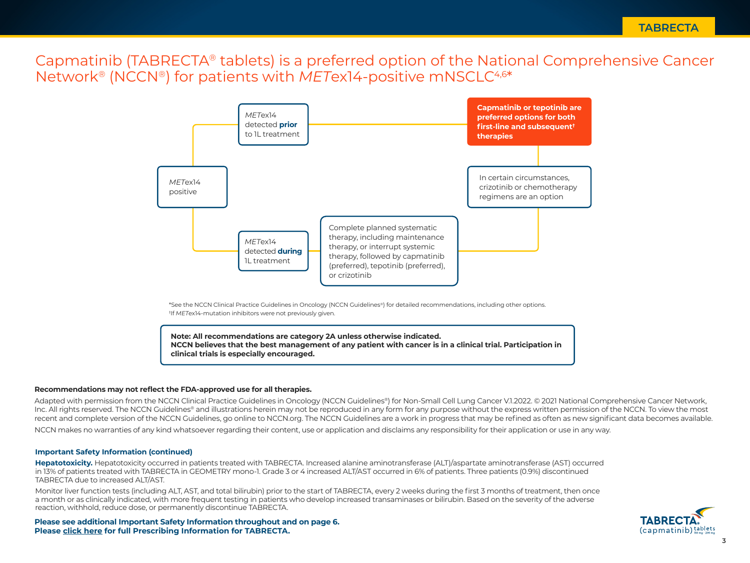Capmatinib (TABRECTA® tablets) is a preferred option of the National Comprehensive Cancer Network® (NCCN®) for patients with *MET*ex14-positive mNSCLC4,6\*



\*See the NCCN Clinical Practice Guidelines in Oncology (NCCN Guidelines®) for detailed recommendations, including other options. † If *MET*ex14-mutation inhibitors were not previously given.

**Note: All recommendations are category 2A unless otherwise indicated. NCCN believes that the best management of any patient with cancer is in a clinical trial. Participation in clinical trials is especially encouraged.**

### **Recommendations may not reflect the FDA-approved use for all therapies.**

Adapted with permission from the NCCN Clinical Practice Guidelines in Oncology (NCCN Guidelines®) for Non-Small Cell Lung Cancer V.1.2022. © 2021 National Comprehensive Cancer Network, Inc. All rights reserved. The NCCN Guidelines® and illustrations herein may not be reproduced in any form for any purpose without the express written permission of the NCCN. To view the most recent and complete version of the NCCN Guidelines, go online to NCCN.org. The NCCN Guidelines are a work in progress that may be refined as often as new significant data becomes available.

NCCN makes no warranties of any kind whatsoever regarding their content, use or application and disclaims any responsibility for their application or use in any way.

### **Important Safety Information (continued)**

**Hepatotoxicity.** Hepatotoxicity occurred in patients treated with TABRECTA. Increased alanine aminotransferase (ALT)/aspartate aminotransferase (AST) occurred in 13% of patients treated with TABRECTA in GEOMETRY mono-1. Grade 3 or 4 increased ALT/AST occurred in 6% of patients. Three patients (0.9%) discontinued TABRECTA due to increased ALT/AST.

Monitor liver function tests (including ALT, AST, and total bilirubin) prior to the start of TABRECTA, every 2 weeks during the first 3 months of treatment, then once a month or as clinically indicated, with more frequent testing in patients who develop increased transaminases or bilirubin. Based on the severity of the adverse reaction, withhold, reduce dose, or permanently discontinue TABRECTA.

**Please see additional Important Safety Information throughout and on page 6. Please [click here](https://www.novartis.us/sites/www.novartis.us/files/tabrecta.pdf) for full Prescribing Information for TABRECTA.**

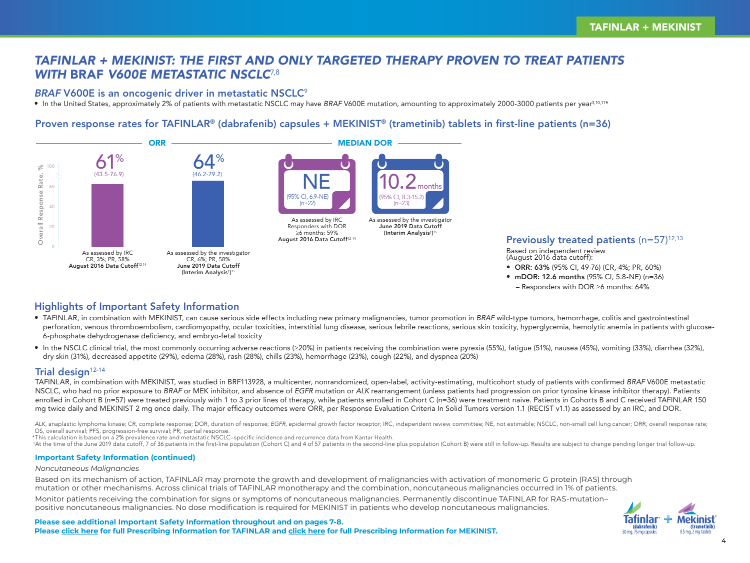## *TAFINLAR + MEKINIST: THE FIRST AND ONLY TARGETED THERAPY PROVEN TO TREAT PATIENTS WITH* BRAF *V600E METASTATIC NSCLC*7,8

## BRAF V600E is an oncogenic driver in metastatic NSCLC<sup>9</sup>

• In the United States, approximately 2% of patients with metastatic NSCLC may have BRAF V600E mutation, amounting to approximately 2000-3000 patients per year<sup>3,10,11\*</sup>

## Proven response rates for TAFINLAR® (dabrafenib) capsules + MEKINIST® (trametinib) tablets in first-line patients (n=36)



## Previously treated patients  $(n=57)^{12,13}$

Based on independent review (August 2016 data cutoff):

- ORR: 63% (95% CI, 49-76) (CR, 4%; PR, 60%)
- mDOR: 12.6 months (95% CI, 5.8-NE) (n=36) – Responders with DOR ≥6 months: 64%

## Highlights of Important Safety Information

- TAFINLAR, in combination with MEKINIST, can cause serious side effects including new primary malignancies, tumor promotion in *BRAF* wild-type tumors, hemorrhage, colitis and gastrointestinal perforation, venous thromboembolism, cardiomyopathy, ocular toxicities, interstitial lung disease, serious febrile reactions, serious skin toxicity, hyperglycemia, hemolytic anemia in patients with glucose-6-phosphate dehydrogenase deficiency, and embryo-fetal toxicity
- In the NSCLC clinical trial, the most commonly occurring adverse reactions (≥20%) in patients receiving the combination were pyrexia (55%), fatigue (51%), nausea (45%), vomiting (33%), diarrhea (32%), dry skin (31%), decreased appetite (29%), edema (28%), rash (28%), chills (23%), hemorrhage (23%), cough (22%), and dyspnea (20%)

## Trial design $12-14$

TAFINLAR, in combination with MEKINIST, was studied in BRF113928, a multicenter, nonrandomized, open-label, activity-estimating, multicohort study of patients with confirmed *BRAF* V600E metastatic NSCLC, who had no prior exposure to *BRAF* or MEK inhibitor, and absence of *EGFR* mutation or *ALK* rearrangement (unless patients had progression on prior tyrosine kinase inhibitor therapy). Patients enrolled in Cohort B (n=57) were treated previously with 1 to 3 prior lines of therapy, while patients enrolled in Cohort C (n=36) were treatment naive. Patients in Cohorts B and C received TAFINLAR 150 mg twice daily and MEKINIST 2 mg once daily. The major efficacy outcomes were ORR, per Response Evaluation Criteria In Solid Tumors version 1.1 (RECIST v1.1) as assessed by an IRC, and DOR.

ALK, anaplastic lymphoma kinase; CR, complete response; DOR, duration of response; EGFR, epidermal growth factor receptor; IRC, independent review committee; NE, not estimable; NSCLC, non-small cell lung cancer; ORR, overa OS, overall survival; PFS, progression-free survival; PR, partial response.

\*This calculation is based on a 2% prevalence rate and metastatic NSCLC–specific incidence and recurrence data from Kantar Health.

\*At the time of the June 2019 data cutoff, 7 of 36 patients in the first-line population (Cohort C) and 4 of 57 patients in the second-line plus population (Cohort B) were still in follow-up. Results are subject to change

## **Important Safety Information (continued)**

## *Noncutaneous Malignancies*

Based on its mechanism of action, TAFINLAR may promote the growth and development of malignancies with activation of monomeric G protein (RAS) through mutation or other mechanisms. Across clinical trials of TAFINLAR monotherapy and the combination, noncutaneous malignancies occurred in 1% of patients.

Monitor patients receiving the combination for signs or symptoms of noncutaneous malignancies. Permanently discontinue TAFINLAR for RAS-mutation– positive noncutaneous malignancies. No dose modification is required for MEKINIST in patients who develop noncutaneous malignancies.

**Please see additional Important Safety Information throughout and on pages 7-8. Please [click here](https://www.novartis.us/sites/www.novartis.us/files/tafinlar.pdf) for full Prescribing Information for TAFINLAR and [click here](https://www.novartis.us/sites/www.novartis.us/files/mekinist.pdf) for full Prescribing Information for MEKINIST.**

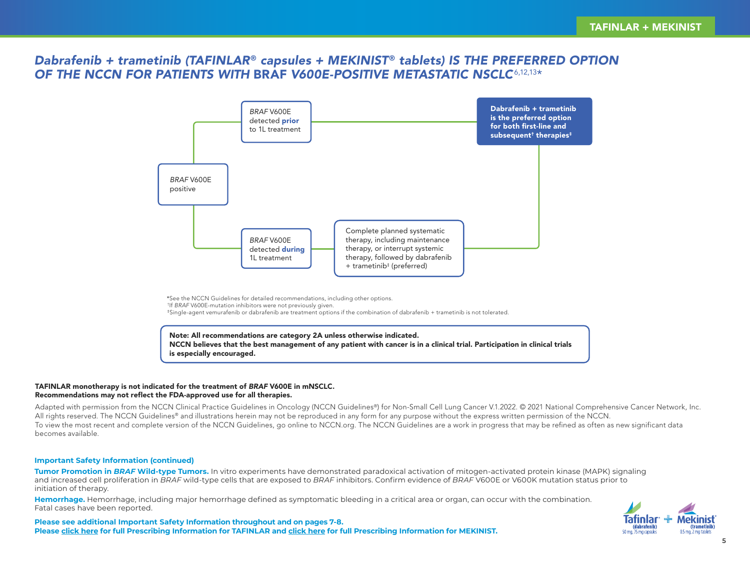## *Dabrafenib + trametinib (TAFINLAR*® *capsules + MEKINIST* ® *tablets) IS THE PREFERRED OPTION OF THE NCCN FOR PATIENTS WITH* BRAF *V600E-POSITIVE METASTATIC NSCLC*6,12,13\*



\*See the NCCN Guidelines for detailed recommendations, including other options.

† If *BRAF* V600E-mutation inhibitors were not previously given.

‡Single-agent vemurafenib or dabrafenib are treatment options if the combination of dabrafenib + trametinib is not tolerated.

Note: All recommendations are category 2A unless otherwise indicated. NCCN believes that the best management of any patient with cancer is in a clinical trial. Participation in clinical trials is especially encouraged.

## TAFINLAR monotherapy is not indicated for the treatment of *BRAF* V600E in mNSCLC. Recommendations may not reflect the FDA-approved use for all therapies.

Adapted with permission from the NCCN Clinical Practice Guidelines in Oncology (NCCN Guidelines®) for Non-Small Cell Lung Cancer V.1.2022. © 2021 National Comprehensive Cancer Network, Inc. All rights reserved. The NCCN Guidelines<sup>®</sup> and illustrations herein may not be reproduced in any form for any purpose without the express written permission of the NCCN. To view the most recent and complete version of the NCCN Guidelines, go online to NCCN.org. The NCCN Guidelines are a work in progress that may be refined as often as new significant data becomes available.

## **Important Safety Information (continued)**

**Tumor Promotion in** *BRAF* **Wild-type Tumors.** In vitro experiments have demonstrated paradoxical activation of mitogen-activated protein kinase (MAPK) signaling and increased cell proliferation in *BRAF* wild-type cells that are exposed to *BRAF* inhibitors. Confirm evidence of *BRAF* V600E or V600K mutation status prior to initiation of therapy.

**Hemorrhage.** Hemorrhage, including major hemorrhage defined as symptomatic bleeding in a critical area or organ, can occur with the combination. Fatal cases have been reported.



**Please see additional Important Safety Information throughout and on pages 7-8. Please [click here](https://www.novartis.us/sites/www.novartis.us/files/tafinlar.pdf) for full Prescribing Information for TAFINLAR and [click here](https://www.novartis.us/sites/www.novartis.us/files/mekinist.pdf) for full Prescribing Information for MEKINIST.**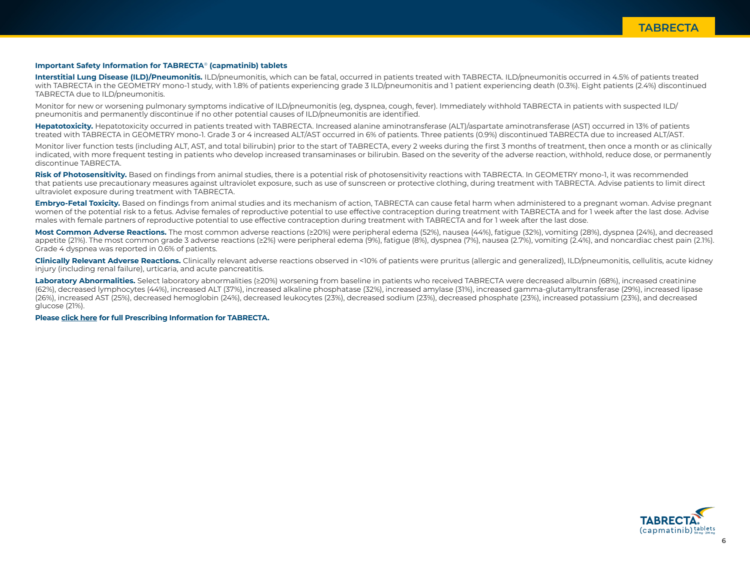### **Important Safety Information for TABRECTA**® **(capmatinib) tablets**

Interstitial Lung Disease (ILD)/Pneumonitis. ILD/pneumonitis, which can be fatal, occurred in patients treated with TABRECTA. ILD/pneumonitis occurred in 4.5% of patients treated with TABRECTA in the GEOMETRY mono-1 study, with 1.8% of patients experiencing grade 3 ILD/pneumonitis and 1 patient experiencing death (0.3%). Eight patients (2.4%) discontinued TABRECTA due to ILD/pneumonitis.

Monitor for new or worsening pulmonary symptoms indicative of ILD/pneumonitis (eg, dyspnea, cough, fever). Immediately withhold TABRECTA in patients with suspected ILD/ pneumonitis and permanently discontinue if no other potential causes of ILD/pneumonitis are identified.

Hepatotoxicity. Hepatotoxicity occurred in patients treated with TABRECTA. Increased alanine aminotransferase (ALT)/aspartate aminotransferase (AST) occurred in 13% of patients treated with TABRECTA in GEOMETRY mono-1. Grade 3 or 4 increased ALT/AST occurred in 6% of patients. Three patients (0.9%) discontinued TABRECTA due to increased ALT/AST.

Monitor liver function tests (including ALT, AST, and total bilirubin) prior to the start of TABRECTA, every 2 weeks during the first 3 months of treatment, then once a month or as clinically indicated, with more frequent testing in patients who develop increased transaminases or bilirubin. Based on the severity of the adverse reaction, withhold, reduce dose, or permanently discontinue TABRECTA.

**Risk of Photosensitivity.** Based on findings from animal studies, there is a potential risk of photosensitivity reactions with TABRECTA. In GEOMETRY mono-1, it was recommended that patients use precautionary measures against ultraviolet exposure, such as use of sunscreen or protective clothing, during treatment with TABRECTA. Advise patients to limit direct ultraviolet exposure during treatment with TABRECTA.

**Embryo-Fetal Toxicity.** Based on findings from animal studies and its mechanism of action, TABRECTA can cause fetal harm when administered to a pregnant woman. Advise pregnant women of the potential risk to a fetus. Advise females of reproductive potential to use effective contraception during treatment with TABRECTA and for 1 week after the last dose. Advise males with female partners of reproductive potential to use effective contraception during treatment with TABRECTA and for 1 week after the last dose.

**Most Common Adverse Reactions.** The most common adverse reactions (≥20%) were peripheral edema (52%), nausea (44%), fatigue (32%), vomiting (28%), dyspnea (24%), and decreased appetite (21%). The most common grade 3 adverse reactions (≥2%) were peripheral edema (9%), fatigue (8%), dyspnea (7%), nausea (2.7%), vomiting (2.4%), and noncardiac chest pain (2.1%). Grade 4 dyspnea was reported in 0.6% of patients.

**Clinically Relevant Adverse Reactions.** Clinically relevant adverse reactions observed in <10% of patients were pruritus (allergic and generalized), ILD/pneumonitis, cellulitis, acute kidney injury (including renal failure), urticaria, and acute pancreatitis.

Laboratory Abnormalities. Select laboratory abnormalities (≥20%) worsening from baseline in patients who received TABRECTA were decreased albumin (68%), increased creatinine (62%), decreased lymphocytes (44%), increased ALT (37%), increased alkaline phosphatase (32%), increased amylase (31%), increased gamma-glutamyltransferase (29%), increased lipase (26%), increased AST (25%), decreased hemoglobin (24%), decreased leukocytes (23%), decreased sodium (23%), decreased phosphate (23%), increased potassium (23%), and decreased glucose (21%).

**Pleas[e click here](https://www.novartis.us/sites/www.novartis.us/files/tabrecta.pdf) for full Prescribing Information for TABRECTA.**

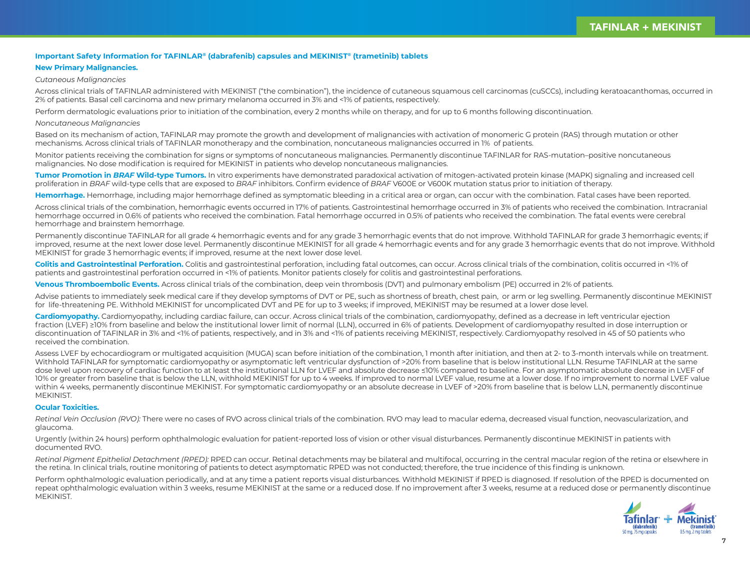#### **Important Safety Information for TAFINLAR® (dabrafenib) capsules and MEKINIST® (trametinib) tablets**

### **New Primary Malignancies.**

#### *Cutaneous Malignancies*

Across clinical trials of TAFINLAR administered with MEKINIST ("the combination"), the incidence of cutaneous squamous cell carcinomas (cuSCCs), including keratoacanthomas, occurred in 2% of patients. Basal cell carcinoma and new primary melanoma occurred in 3% and <1% of patients, respectively.

Perform dermatologic evaluations prior to initiation of the combination, every 2 months while on therapy, and for up to 6 months following discontinuation.

#### *Noncutaneous Malignancies*

Based on its mechanism of action, TAFINLAR may promote the growth and development of malignancies with activation of monomeric G protein (RAS) through mutation or other mechanisms. Across clinical trials of TAFINLAR monotherapy and the combination, noncutaneous malignancies occurred in 1% of patients.

Monitor patients receiving the combination for signs or symptoms of noncutaneous malignancies. Permanently discontinue TAFINLAR for RAS-mutation–positive noncutaneous malignancies. No dose modification is required for MEKINIST in patients who develop noncutaneous malignancies.

**Tumor Promotion in** *BRAF* **Wild-type Tumors.** In vitro experiments have demonstrated paradoxical activation of mitogen-activated protein kinase (MAPK) signaling and increased cell proliferation in *BRAF* wild-type cells that are exposed to *BRAF* inhibitors. Confirm evidence of *BRAF* V600E or V600K mutation status prior to initiation of therapy.

**Hemorrhage.** Hemorrhage, including major hemorrhage defined as symptomatic bleeding in a critical area or organ, can occur with the combination. Fatal cases have been reported.

Across clinical trials of the combination, hemorrhagic events occurred in 17% of patients. Gastrointestinal hemorrhage occurred in 3% of patients who received the combination. Intracranial hemorrhage occurred in 0.6% of patients who received the combination. Fatal hemorrhage occurred in 0.5% of patients who received the combination. The fatal events were cerebral hemorrhage and brainstem hemorrhage.

Permanently discontinue TAFINLAR for all grade 4 hemorrhagic events and for any grade 3 hemorrhagic events that do not improve. Withhold TAFINLAR for grade 3 hemorrhagic events; if improved, resume at the next lower dose level. Permanently discontinue MEKINIST for all grade 4 hemorrhagic events and for any grade 3 hemorrhagic events that do not improve. Withhold MEKINIST for grade 3 hemorrhagic events; if improved, resume at the next lower dose level.

**Colitis and Gastrointestinal Perforation.** Colitis and gastrointestinal perforation, including fatal outcomes, can occur. Across clinical trials of the combination, colitis occurred in <1% of patients and gastrointestinal perforation occurred in <1% of patients. Monitor patients closely for colitis and gastrointestinal perforations.

**Venous Thromboembolic Events.** Across clinical trials of the combination, deep vein thrombosis (DVT) and pulmonary embolism (PE) occurred in 2% of patients.

Advise patients to immediately seek medical care if they develop symptoms of DVT or PE, such as shortness of breath, chest pain, or arm or leg swelling. Permanently discontinue MEKINIST for life-threatening PE. Withhold MEKINIST for uncomplicated DVT and PE for up to 3 weeks; if improved, MEKINIST may be resumed at a lower dose level.

Cardiomyopathy. Cardiomyopathy, including cardiac failure, can occur. Across clinical trials of the combination, cardiomyopathy, defined as a decrease in left ventricular ejection fraction (LVEF) ≥10% from baseline and below the institutional lower limit of normal (LLN), occurred in 6% of patients. Development of cardiomyopathy resulted in dose interruption or discontinuation of TAFINLAR in 3% and <1% of patients, respectively, and in 3% and <1% of patients receiving MEKINIST, respectively. Cardiomyopathy resolved in 45 of 50 patients who received the combination.

Assess LVEF by echocardiogram or multigated acquisition (MUGA) scan before initiation of the combination, 1 month after initiation, and then at 2- to 3-month intervals while on treatment. Withhold TAFINLAR for symptomatic cardiomyopathy or asymptomatic left ventricular dysfunction of >20% from baseline that is below institutional LLN. Resume TAFINLAR at the same dose level upon recovery of cardiac function to at least the institutional LLN for LVEF and absolute decrease ≤10% compared to baseline. For an asymptomatic absolute decrease in LVEF of 10% or greater from baseline that is below the LLN, withhold MEKINIST for up to 4 weeks. If improved to normal LVEF value, resume at a lower dose. If no improvement to normal LVEF value within 4 weeks, permanently discontinue MEKINIST. For symptomatic cardiomyopathy or an absolute decrease in LVEF of >20% from baseline that is below LLN, permanently discontinue MEKINIST.

#### **Ocular Toxicities.**

*Retinal Vein Occlusion (RVO):* There were no cases of RVO across clinical trials of the combination. RVO may lead to macular edema, decreased visual function, neovascularization, and glaucoma.

Urgently (within 24 hours) perform ophthalmologic evaluation for patient-reported loss of vision or other visual disturbances. Permanently discontinue MEKINIST in patients with documented RVO.

*Retinal Pigment Epithelial Detachment (RPED):* RPED can occur. Retinal detachments may be bilateral and multifocal, occurring in the central macular region of the retina or elsewhere in the retina. In clinical trials, routine monitoring of patients to detect asymptomatic RPED was not conducted; therefore, the true incidence of this finding is unknown.

Perform ophthalmologic evaluation periodically, and at any time a patient reports visual disturbances. Withhold MEKINIST if RPED is diagnosed. If resolution of the RPED is documented on repeat ophthalmologic evaluation within 3 weeks, resume MEKINIST at the same or a reduced dose. If no improvement after 3 weeks, resume at a reduced dose or permanently discontinue MEKINIST.

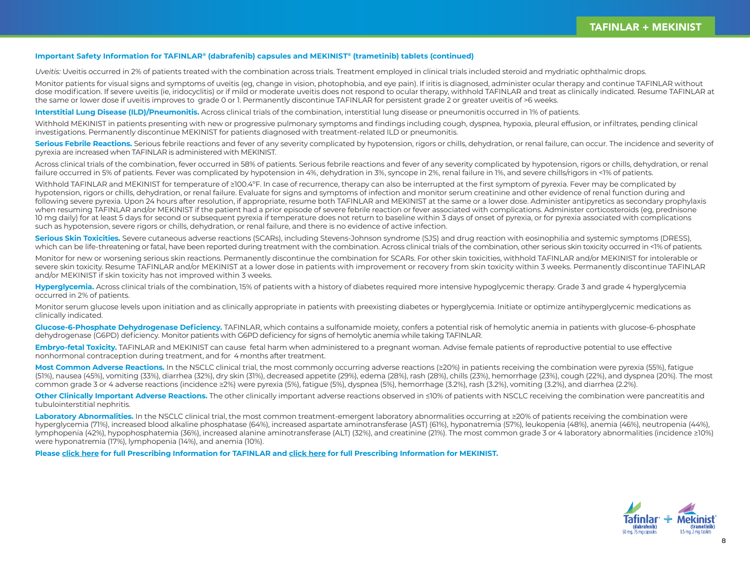#### **Important Safety Information for TAFINLAR® (dabrafenib) capsules and MEKINIST® (trametinib) tablets (continued)**

*Uveitis:* Uveitis occurred in 2% of patients treated with the combination across trials. Treatment employed in clinical trials included steroid and mydriatic ophthalmic drops.

Monitor patients for visual signs and symptoms of uveitis (eg, change in vision, photophobia, and eye pain). If iritis is diagnosed, administer ocular therapy and continue TAFINLAR without dose modification. If severe uveitis (ie, iridocyclitis) or if mild or moderate uveitis does not respond to ocular therapy, withhold TAFINLAR and treat as clinically indicated. Resume TAFINLAR at the same or lower dose if uveitis improves to grade 0 or 1. Permanently discontinue TAFINLAR for persistent grade 2 or greater uveitis of >6 weeks.

**Interstitial Lung Disease (ILD)/Pneumonitis.** Across clinical trials of the combination, interstitial lung disease or pneumonitis occurred in 1% of patients.

Withhold MEKINIST in patients presenting with new or progressive pulmonary symptoms and findings including cough, dyspnea, hypoxia, pleural effusion, or infiltrates, pending clinical investigations. Permanently discontinue MEKINIST for patients diagnosed with treatment-related ILD or pneumonitis.

**Serious Febrile Reactions.** Serious febrile reactions and fever of any severity complicated by hypotension, rigors or chills, dehydration, or renal failure, can occur. The incidence and severity of pyrexia are increased when TAFINLAR is administered with MEKINIST.

Across clinical trials of the combination, fever occurred in 58% of patients. Serious febrile reactions and fever of any severity complicated by hypotension, rigors or chills, dehydration, or renal failure occurred in 5% of patients. Fever was complicated by hypotension in 4%, dehydration in 3%, syncope in 2%, renal failure in 1%, and severe chills/rigors in <1% of patients.

Withhold TAFINLAR and MEKINIST for temperature of ≥100.4°F. In case of recurrence, therapy can also be interrupted at the first symptom of pyrexia. Fever may be complicated by hypotension, rigors or chills, dehydration, or renal failure. Evaluate for signs and symptoms of infection and monitor serum creatinine and other evidence of renal function during and following severe pyrexia. Upon 24 hours after resolution, if appropriate, resume both TAFINLAR and MEKINIST at the same or a lower dose. Administer antipyretics as secondary prophylaxis when resuming TAFINLAR and/or MEKINIST if the patient had a prior episode of severe febrile reaction or fever associated with complications. Administer corticosteroids (eq, prednisone 10 mg daily) for at least 5 days for second or subsequent pyrexia if temperature does not return to baseline within 3 days of onset of pyrexia, or for pyrexia associated with complications such as hypotension, severe rigors or chills, dehydration, or renal failure, and there is no evidence of active infection.

**Serious Skin Toxicities.** Severe cutaneous adverse reactions (SCARs), including Stevens-Johnson syndrome (SJS) and drug reaction with eosinophilia and systemic symptoms (DRESS), which can be life-threatening or fatal, have been reported during treatment with the combination. Across clinical trials of the combination, other serious skin toxicity occurred in <1% of patients.

Monitor for new or worsening serious skin reactions. Permanently discontinue the combination for SCARs. For other skin toxicities, withhold TAFINLAR and/or MEKINIST for intolerable or severe skin toxicity. Resume TAFINLAR and/or MEKINIST at a lower dose in patients with improvement or recovery from skin toxicity within 3 weeks. Permanently discontinue TAFINLAR and/or MEKINIST if skin toxicity has not improved within 3 weeks.

**Hyperglycemia.** Across clinical trials of the combination, 15% of patients with a history of diabetes required more intensive hypoglycemic therapy. Grade 3 and grade 4 hyperglycemia occurred in 2% of patients.

Monitor serum glucose levels upon initiation and as clinically appropriate in patients with preexisting diabetes or hyperglycemia. Initiate or optimize antihyperglycemic medications as clinically indicated.

**Glucose-6-Phosphate Dehydrogenase Deficiency.** TAFINLAR, which contains a sulfonamide moiety, confers a potential risk of hemolytic anemia in patients with glucose-6-phosphate dehydrogenase (G6PD) deficiency. Monitor patients with G6PD deficiency for signs of hemolytic anemia while taking TAFINLAR.

**Embryo-fetal Toxicity.** TAFINLAR and MEKINIST can cause fetal harm when administered to a pregnant woman. Advise female patients of reproductive potential to use effective nonhormonal contraception during treatment, and for 4 months after treatment.

**Most Common Adverse Reactions.** In the NSCLC clinical trial, the most commonly occurring adverse reactions (≥20%) in patients receiving the combination were pyrexia (55%), fatigue (51%), nausea (45%), vomiting (33%), diarrhea (32%), dry skin (31%), decreased appetite (29%), edema (28%), rash (28%), chills (23%), hemorrhage (23%), cough (22%), and dyspnea (20%). The most common grade 3 or 4 adverse reactions (incidence ≥2%) were pyrexia (5%), fatigue (5%), dyspnea (5%), hemorrhage (3.2%), rash (3.2%), vomiting (3.2%), and diarrhea (2.2%).

**Other Clinically Important Adverse Reactions.** The other clinically important adverse reactions observed in ≤10% of patients with NSCLC receiving the combination were pancreatitis and tubulointerstitial nephritis.

Laboratory Abnormalities. In the NSCLC clinical trial, the most common treatment-emergent laboratory abnormalities occurring at ≥20% of patients receiving the combination were hyperglycemia (71%), increased blood alkaline phosphatase (64%), increased aspartate aminotransferase (AST) (61%), hyponatremia (57%), leukopenia (48%), anemia (46%), neutropenia (44%), lymphopenia (42%), hypophosphatemia (36%), increased alanine aminotransferase (ALT) (32%), and creatinine (21%). The most common grade 3 or 4 laboratory abnormalities (incidence ≥10%) were hyponatremia (17%), lymphopenia (14%), and anemia (10%).

**Please [click here](https://www.novartis.us/sites/www.novartis.us/files/tafinlar.pdf) for full Prescribing Information for TAFINLAR and [click here](https://www.novartis.us/sites/www.novartis.us/files/mekinist.pdf) for full Prescribing Information for MEKINIST.**